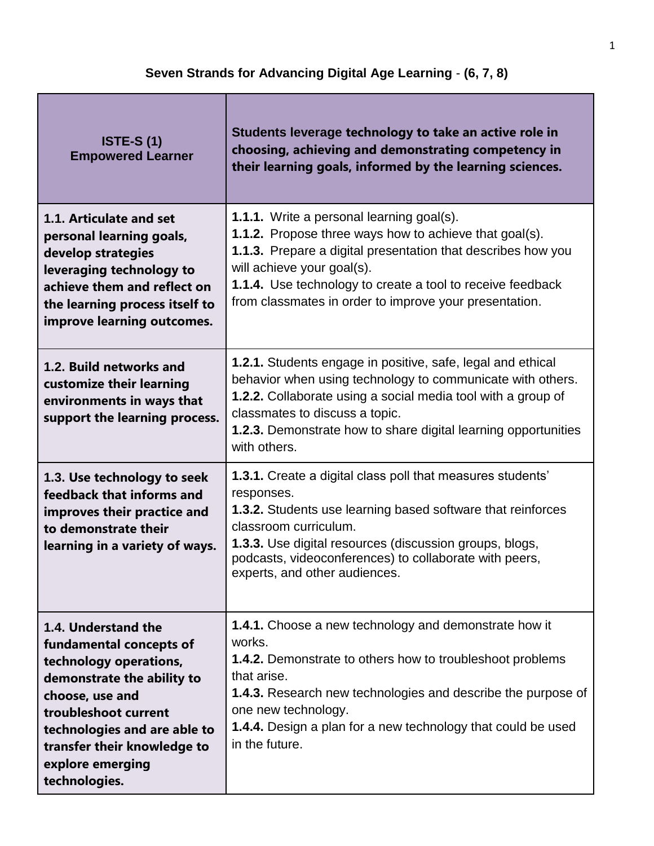Г

| <b>ISTE-S (1)</b><br><b>Empowered Learner</b>                                                                                                                                                                                                         | Students leverage technology to take an active role in<br>choosing, achieving and demonstrating competency in<br>their learning goals, informed by the learning sciences.                                                                                                                                                                      |
|-------------------------------------------------------------------------------------------------------------------------------------------------------------------------------------------------------------------------------------------------------|------------------------------------------------------------------------------------------------------------------------------------------------------------------------------------------------------------------------------------------------------------------------------------------------------------------------------------------------|
| 1.1. Articulate and set<br>personal learning goals,<br>develop strategies<br>leveraging technology to<br>achieve them and reflect on<br>the learning process itself to<br>improve learning outcomes.                                                  | <b>1.1.1.</b> Write a personal learning goal(s).<br><b>1.1.2.</b> Propose three ways how to achieve that goal(s).<br>1.1.3. Prepare a digital presentation that describes how you<br>will achieve your goal(s).<br><b>1.1.4.</b> Use technology to create a tool to receive feedback<br>from classmates in order to improve your presentation. |
| 1.2. Build networks and<br>customize their learning<br>environments in ways that<br>support the learning process.                                                                                                                                     | 1.2.1. Students engage in positive, safe, legal and ethical<br>behavior when using technology to communicate with others.<br><b>1.2.2.</b> Collaborate using a social media tool with a group of<br>classmates to discuss a topic.<br><b>1.2.3.</b> Demonstrate how to share digital learning opportunities<br>with others.                    |
| 1.3. Use technology to seek<br>feedback that informs and<br>improves their practice and<br>to demonstrate their<br>learning in a variety of ways.                                                                                                     | <b>1.3.1.</b> Create a digital class poll that measures students'<br>responses.<br><b>1.3.2.</b> Students use learning based software that reinforces<br>classroom curriculum.<br><b>1.3.3.</b> Use digital resources (discussion groups, blogs,<br>podcasts, videoconferences) to collaborate with peers,<br>experts, and other audiences.    |
| 1.4. Understand the<br>fundamental concepts of<br>technology operations,<br>demonstrate the ability to<br>choose, use and<br>troubleshoot current<br>technologies and are able to<br>transfer their knowledge to<br>explore emerging<br>technologies. | <b>1.4.1.</b> Choose a new technology and demonstrate how it<br>works.<br>1.4.2. Demonstrate to others how to troubleshoot problems<br>that arise.<br><b>1.4.3.</b> Research new technologies and describe the purpose of<br>one new technology.<br><b>1.4.4.</b> Design a plan for a new technology that could be used<br>in the future.      |

┓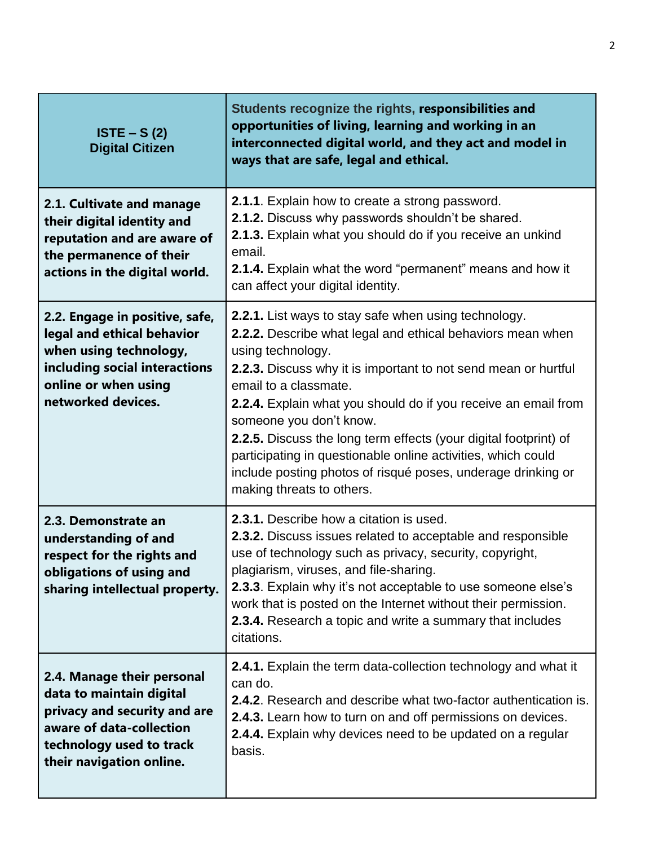| $ISTE - S(2)$<br><b>Digital Citizen</b>                                                                                                                                    | Students recognize the rights, responsibilities and<br>opportunities of living, learning and working in an<br>interconnected digital world, and they act and model in<br>ways that are safe, legal and ethical.                                                                                                                                                                                                                                                                                                                                                  |
|----------------------------------------------------------------------------------------------------------------------------------------------------------------------------|------------------------------------------------------------------------------------------------------------------------------------------------------------------------------------------------------------------------------------------------------------------------------------------------------------------------------------------------------------------------------------------------------------------------------------------------------------------------------------------------------------------------------------------------------------------|
| 2.1. Cultivate and manage<br>their digital identity and<br>reputation and are aware of<br>the permanence of their<br>actions in the digital world.                         | 2.1.1. Explain how to create a strong password.<br>2.1.2. Discuss why passwords shouldn't be shared.<br>2.1.3. Explain what you should do if you receive an unkind<br>email.<br>2.1.4. Explain what the word "permanent" means and how it<br>can affect your digital identity.                                                                                                                                                                                                                                                                                   |
| 2.2. Engage in positive, safe,<br>legal and ethical behavior<br>when using technology,<br>including social interactions<br>online or when using<br>networked devices.      | 2.2.1. List ways to stay safe when using technology.<br>2.2.2. Describe what legal and ethical behaviors mean when<br>using technology.<br>2.2.3. Discuss why it is important to not send mean or hurtful<br>email to a classmate.<br>2.2.4. Explain what you should do if you receive an email from<br>someone you don't know.<br>2.2.5. Discuss the long term effects (your digital footprint) of<br>participating in questionable online activities, which could<br>include posting photos of risqué poses, underage drinking or<br>making threats to others. |
| 2.3. Demonstrate an<br>understanding of and<br>respect for the rights and<br>obligations of using and<br>sharing intellectual property.                                    | 2.3.1. Describe how a citation is used.<br>2.3.2. Discuss issues related to acceptable and responsible<br>use of technology such as privacy, security, copyright,<br>plagiarism, viruses, and file-sharing.<br>2.3.3. Explain why it's not acceptable to use someone else's<br>work that is posted on the Internet without their permission.<br>2.3.4. Research a topic and write a summary that includes<br>citations.                                                                                                                                          |
| 2.4. Manage their personal<br>data to maintain digital<br>privacy and security and are<br>aware of data-collection<br>technology used to track<br>their navigation online. | 2.4.1. Explain the term data-collection technology and what it<br>can do.<br>2.4.2. Research and describe what two-factor authentication is.<br>2.4.3. Learn how to turn on and off permissions on devices.<br>2.4.4. Explain why devices need to be updated on a regular<br>basis.                                                                                                                                                                                                                                                                              |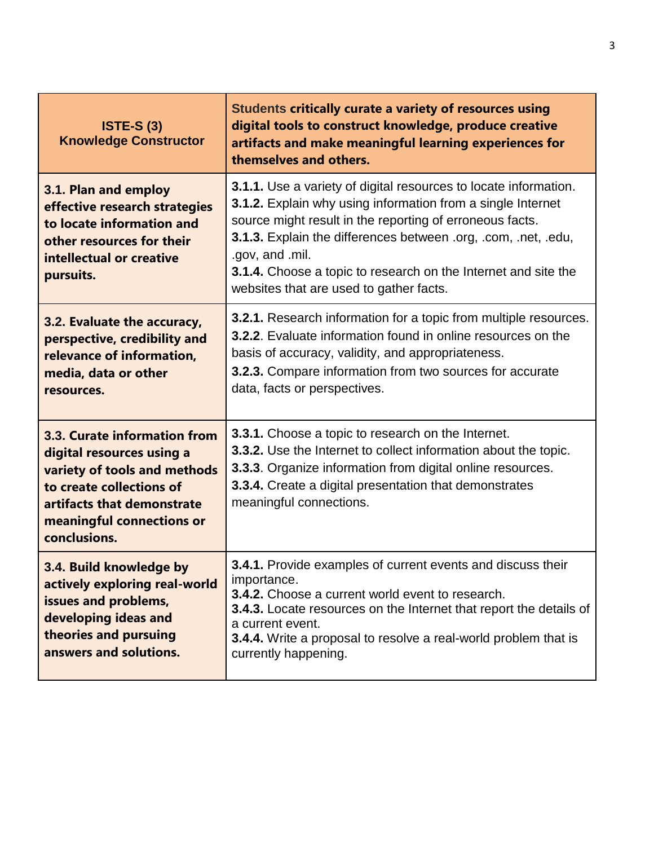| <b>ISTE-S (3)</b><br><b>Knowledge Constructor</b>                                                                                                                                                | Students critically curate a variety of resources using<br>digital tools to construct knowledge, produce creative<br>artifacts and make meaningful learning experiences for<br>themselves and others.                                                                                                                                                                                                |
|--------------------------------------------------------------------------------------------------------------------------------------------------------------------------------------------------|------------------------------------------------------------------------------------------------------------------------------------------------------------------------------------------------------------------------------------------------------------------------------------------------------------------------------------------------------------------------------------------------------|
| 3.1. Plan and employ<br>effective research strategies<br>to locate information and<br>other resources for their<br>intellectual or creative<br>pursuits.                                         | <b>3.1.1.</b> Use a variety of digital resources to locate information.<br>3.1.2. Explain why using information from a single Internet<br>source might result in the reporting of erroneous facts.<br>3.1.3. Explain the differences between .org, .com, .net, .edu,<br>.gov, and .mil.<br>3.1.4. Choose a topic to research on the Internet and site the<br>websites that are used to gather facts. |
| 3.2. Evaluate the accuracy,<br>perspective, credibility and<br>relevance of information,<br>media, data or other<br>resources.                                                                   | <b>3.2.1.</b> Research information for a topic from multiple resources.<br>3.2.2. Evaluate information found in online resources on the<br>basis of accuracy, validity, and appropriateness.<br>3.2.3. Compare information from two sources for accurate<br>data, facts or perspectives.                                                                                                             |
| 3.3. Curate information from<br>digital resources using a<br>variety of tools and methods<br>to create collections of<br>artifacts that demonstrate<br>meaningful connections or<br>conclusions. | 3.3.1. Choose a topic to research on the Internet.<br>3.3.2. Use the Internet to collect information about the topic.<br>3.3.3. Organize information from digital online resources.<br>3.3.4. Create a digital presentation that demonstrates<br>meaningful connections.                                                                                                                             |
| 3.4. Build knowledge by<br>actively exploring real-world<br>issues and problems,<br>developing ideas and<br>theories and pursuing<br>answers and solutions.                                      | <b>3.4.1.</b> Provide examples of current events and discuss their<br>importance.<br><b>3.4.2.</b> Choose a current world event to research.<br><b>3.4.3.</b> Locate resources on the Internet that report the details of<br>a current event.<br>3.4.4. Write a proposal to resolve a real-world problem that is<br>currently happening.                                                             |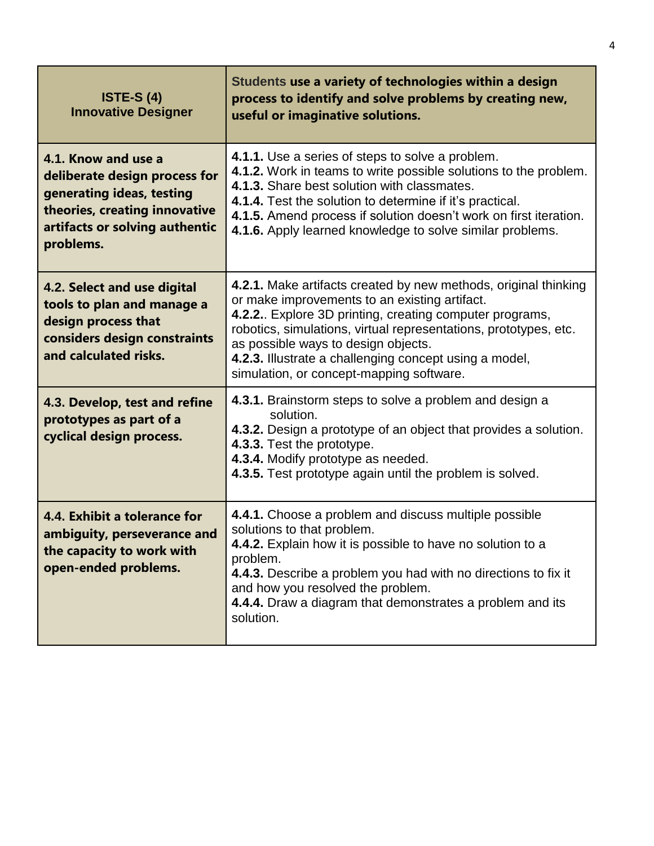| <b>ISTE-S (4)</b><br><b>Innovative Designer</b>                                                                                                                   | Students use a variety of technologies within a design<br>process to identify and solve problems by creating new,<br>useful or imaginative solutions.                                                                                                                                                                                                                                        |
|-------------------------------------------------------------------------------------------------------------------------------------------------------------------|----------------------------------------------------------------------------------------------------------------------------------------------------------------------------------------------------------------------------------------------------------------------------------------------------------------------------------------------------------------------------------------------|
| 4.1. Know and use a<br>deliberate design process for<br>generating ideas, testing<br>theories, creating innovative<br>artifacts or solving authentic<br>problems. | 4.1.1. Use a series of steps to solve a problem.<br>4.1.2. Work in teams to write possible solutions to the problem.<br>4.1.3. Share best solution with classmates.<br>4.1.4. Test the solution to determine if it's practical.<br>4.1.5. Amend process if solution doesn't work on first iteration.<br>4.1.6. Apply learned knowledge to solve similar problems.                            |
| 4.2. Select and use digital<br>tools to plan and manage a<br>design process that<br>considers design constraints<br>and calculated risks.                         | 4.2.1. Make artifacts created by new methods, original thinking<br>or make improvements to an existing artifact.<br>4.2.2. Explore 3D printing, creating computer programs,<br>robotics, simulations, virtual representations, prototypes, etc.<br>as possible ways to design objects.<br>4.2.3. Illustrate a challenging concept using a model,<br>simulation, or concept-mapping software. |
| 4.3. Develop, test and refine<br>prototypes as part of a<br>cyclical design process.                                                                              | 4.3.1. Brainstorm steps to solve a problem and design a<br>solution.<br>4.3.2. Design a prototype of an object that provides a solution.<br>4.3.3. Test the prototype.<br>4.3.4. Modify prototype as needed.<br>4.3.5. Test prototype again until the problem is solved.                                                                                                                     |
| 4.4. Exhibit a tolerance for<br>ambiguity, perseverance and<br>the capacity to work with<br>open-ended problems.                                                  | 4.4.1. Choose a problem and discuss multiple possible<br>solutions to that problem.<br>4.4.2. Explain how it is possible to have no solution to a<br>problem.<br>4.4.3. Describe a problem you had with no directions to fix it<br>and how you resolved the problem.<br>4.4.4. Draw a diagram that demonstrates a problem and its<br>solution.                                               |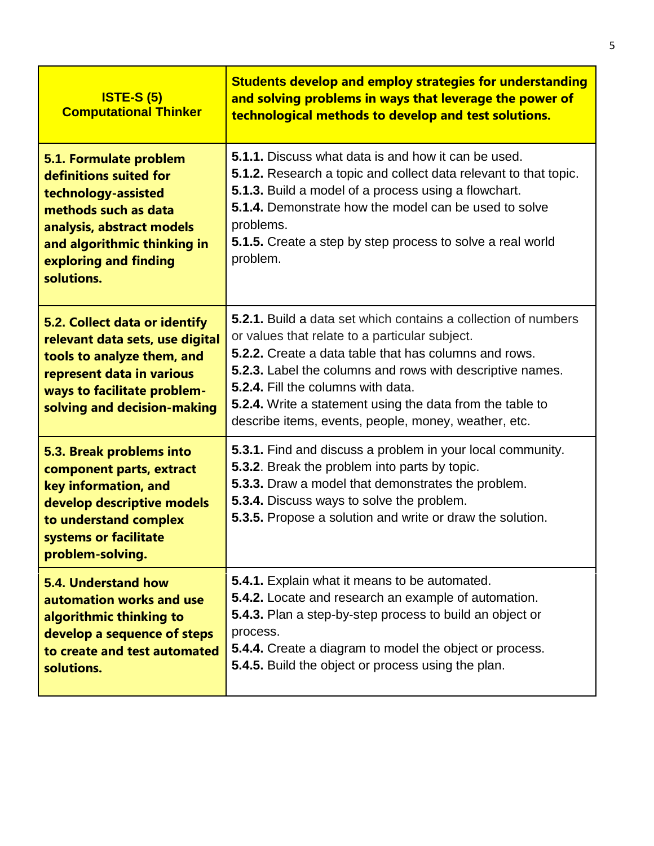| <b>ISTE-S (5)</b><br><b>Computational Thinker</b>                                                                                                                                                  | <b>Students develop and employ strategies for understanding</b><br>and solving problems in ways that leverage the power of<br>technological methods to develop and test solutions.                                                                                                                                                                                                                                                   |
|----------------------------------------------------------------------------------------------------------------------------------------------------------------------------------------------------|--------------------------------------------------------------------------------------------------------------------------------------------------------------------------------------------------------------------------------------------------------------------------------------------------------------------------------------------------------------------------------------------------------------------------------------|
| 5.1. Formulate problem<br>definitions suited for<br>technology-assisted<br>methods such as data<br>analysis, abstract models<br>and algorithmic thinking in<br>exploring and finding<br>solutions. | <b>5.1.1.</b> Discuss what data is and how it can be used.<br><b>5.1.2.</b> Research a topic and collect data relevant to that topic.<br><b>5.1.3.</b> Build a model of a process using a flowchart.<br>5.1.4. Demonstrate how the model can be used to solve<br>problems.<br><b>5.1.5.</b> Create a step by step process to solve a real world<br>problem.                                                                          |
| 5.2. Collect data or identify<br>relevant data sets, use digital<br>tools to analyze them, and<br>represent data in various<br>ways to facilitate problem-<br>solving and decision-making          | <b>5.2.1.</b> Build a data set which contains a collection of numbers<br>or values that relate to a particular subject.<br><b>5.2.2.</b> Create a data table that has columns and rows.<br><b>5.2.3.</b> Label the columns and rows with descriptive names.<br><b>5.2.4.</b> Fill the columns with data.<br><b>5.2.4.</b> Write a statement using the data from the table to<br>describe items, events, people, money, weather, etc. |
| 5.3. Break problems into<br>component parts, extract<br>key information, and<br>develop descriptive models<br>to understand complex<br>systems or facilitate<br>problem-solving.                   | 5.3.1. Find and discuss a problem in your local community.<br>5.3.2. Break the problem into parts by topic.<br>5.3.3. Draw a model that demonstrates the problem.<br><b>5.3.4.</b> Discuss ways to solve the problem.<br>5.3.5. Propose a solution and write or draw the solution.                                                                                                                                                   |
| 5.4. Understand how<br>automation works and use<br>algorithmic thinking to<br>develop a sequence of steps<br>to create and test automated<br>solutions.                                            | 5.4.1. Explain what it means to be automated.<br>5.4.2. Locate and research an example of automation.<br>5.4.3. Plan a step-by-step process to build an object or<br>process.<br>5.4.4. Create a diagram to model the object or process.<br>5.4.5. Build the object or process using the plan.                                                                                                                                       |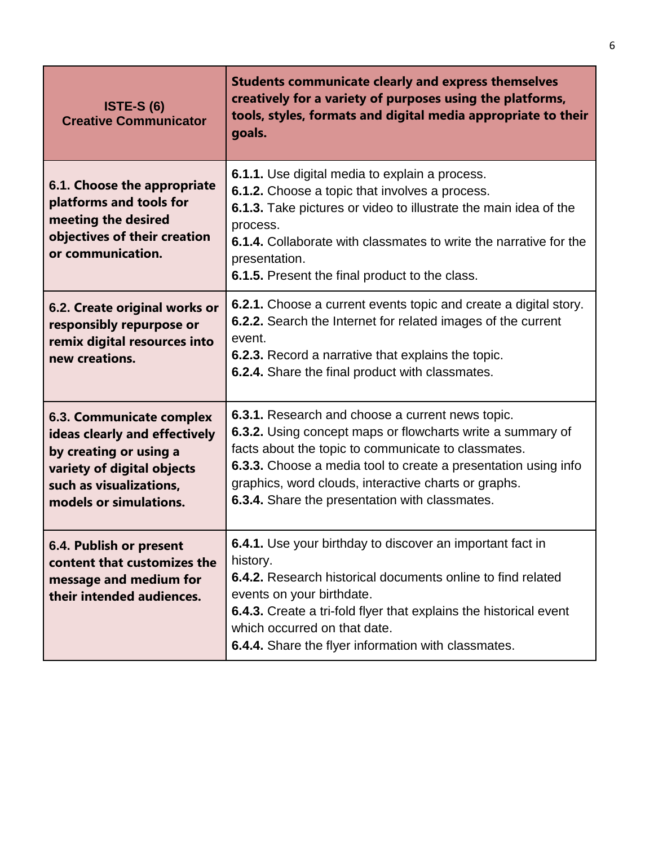| <b>ISTE-S (6)</b><br><b>Creative Communicator</b>                                                                                                                             | <b>Students communicate clearly and express themselves</b><br>creatively for a variety of purposes using the platforms,<br>tools, styles, formats and digital media appropriate to their<br>goals.                                                                                                                                                |
|-------------------------------------------------------------------------------------------------------------------------------------------------------------------------------|---------------------------------------------------------------------------------------------------------------------------------------------------------------------------------------------------------------------------------------------------------------------------------------------------------------------------------------------------|
| 6.1. Choose the appropriate<br>platforms and tools for<br>meeting the desired<br>objectives of their creation<br>or communication.                                            | <b>6.1.1.</b> Use digital media to explain a process.<br>6.1.2. Choose a topic that involves a process.<br>6.1.3. Take pictures or video to illustrate the main idea of the<br>process.<br><b>6.1.4.</b> Collaborate with classmates to write the narrative for the<br>presentation.<br>6.1.5. Present the final product to the class.            |
| 6.2. Create original works or<br>responsibly repurpose or<br>remix digital resources into<br>new creations.                                                                   | 6.2.1. Choose a current events topic and create a digital story.<br>6.2.2. Search the Internet for related images of the current<br>event.<br>6.2.3. Record a narrative that explains the topic.<br>6.2.4. Share the final product with classmates.                                                                                               |
| <b>6.3. Communicate complex</b><br>ideas clearly and effectively<br>by creating or using a<br>variety of digital objects<br>such as visualizations,<br>models or simulations. | 6.3.1. Research and choose a current news topic.<br>6.3.2. Using concept maps or flowcharts write a summary of<br>facts about the topic to communicate to classmates.<br>6.3.3. Choose a media tool to create a presentation using info<br>graphics, word clouds, interactive charts or graphs.<br>6.3.4. Share the presentation with classmates. |
| 6.4. Publish or present<br>content that customizes the<br>message and medium for<br>their intended audiences.                                                                 | 6.4.1. Use your birthday to discover an important fact in<br>history.<br>6.4.2. Research historical documents online to find related<br>events on your birthdate.<br>6.4.3. Create a tri-fold flyer that explains the historical event<br>which occurred on that date.<br>6.4.4. Share the flyer information with classmates.                     |